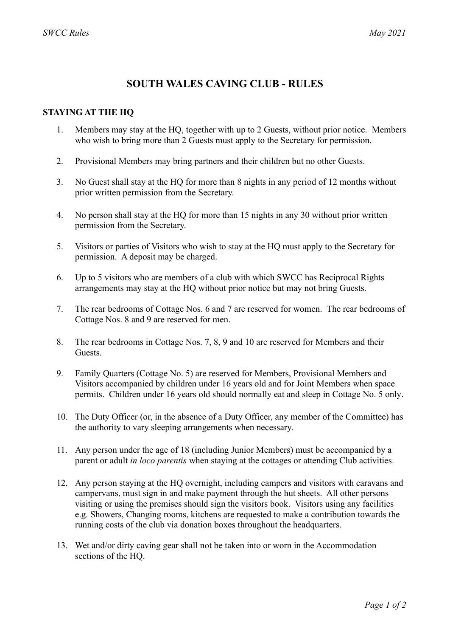## **SOUTH WALES CAVING CLUB - RULES**

## **STAYING AT THE HQ**

- 1. Members may stay at the HQ, together with up to 2 Guests, without prior notice. Members who wish to bring more than 2 Guests must apply to the Secretary for permission.
- 2. Provisional Members may bring partners and their children but no other Guests.
- 3. No Guest shall stay at the HQ for more than 8 nights in any period of 12 months without prior written permission from the Secretary.
- 4. No person shall stay at the HQ for more than 15 nights in any 30 without prior written permission from the Secretary.
- 5. Visitors or parties of Visitors who wish to stay at the HQ must apply to the Secretary for permission. A deposit may be charged.
- 6. Up to 5 visitors who are members of a club with which SWCC has Reciprocal Rights arrangements may stay at the HQ without prior notice but may not bring Guests.
- 7. The rear bedrooms of Cottage Nos. 6 and 7 are reserved for women. The rear bedrooms of Cottage Nos. 8 and 9 are reserved for men.
- 8. The rear bedrooms in Cottage Nos. 7, 8, 9 and 10 are reserved for Members and their Guests.
- 9. Family Quarters (Cottage No. 5) are reserved for Members, Provisional Members and Visitors accompanied by children under 16 years old and for Joint Members when space permits. Children under 16 years old should normally eat and sleep in Cottage No. 5 only.
- 10. The Duty Officer (or, in the absence of a Duty Officer, any member of the Committee) has the authority to vary sleeping arrangements when necessary.
- 11. Any person under the age of 18 (including Junior Members) must be accompanied by a parent or adult *in loco parentis* when staying at the cottages or attending Club activities.
- 12. Any person staying at the HQ overnight, including campers and visitors with caravans and campervans, must sign in and make payment through the hut sheets. All other persons visiting or using the premises should sign the visitors book. Visitors using any facilities e.g. Showers, Changing rooms, kitchens are requested to make a contribution towards the running costs of the club via donation boxes throughout the headquarters.
- 13. Wet and/or dirty caving gear shall not be taken into or worn in the Accommodation sections of the HQ.